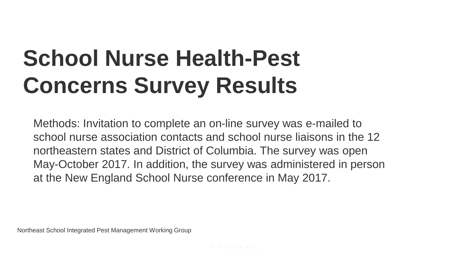# **School Nurse Health-Pest Concerns Survey Results**

Methods: Invitation to complete an on-line survey was e-mailed to school nurse association contacts and school nurse liaisons in the 12 northeastern states and District of Columbia. The survey was open May-October 2017. In addition, the survey was administered in person at the New England School Nurse conference in May 2017.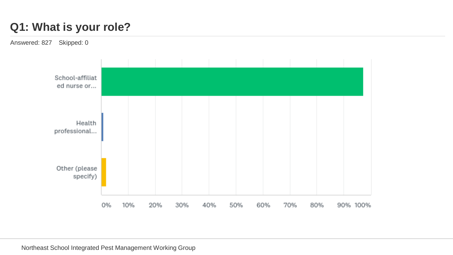## **Q1: What is your role?**

Answered: 827 Skipped: 0

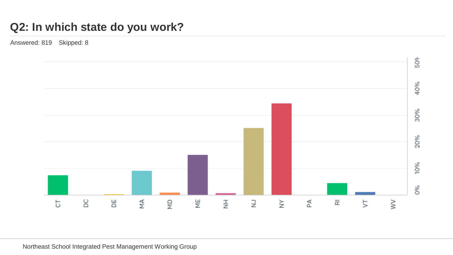#### **Q2: In which state do you work?**

Answered: 819 Skipped: 8

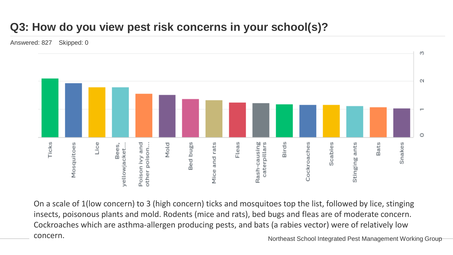## **Q3: How do you view pest risk concerns in your school(s)?**

Answered: 827 Skipped: 0



On a scale of 1(low concern) to 3 (high concern) ticks and mosquitoes top the list, followed by lice, stinging insects, poisonous plants and mold. Rodents (mice and rats), bed bugs and fleas are of moderate concern. Cockroaches which are asthma-allergen producing pests, and bats (a rabies vector) were of relatively low concern. Northeast School Integrated Pest Management Working Group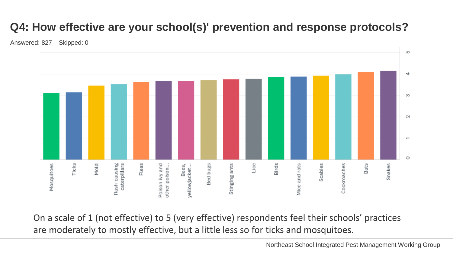# **Q4: How effective are your school(s)' prevention and response protocols?**

Answered: 827 Skipped: 0



On a scale of 1 (not effective) to 5 (very effective) respondents feel their schools' practices are moderately to mostly effective, but a little less so for ticks and mosquitoes.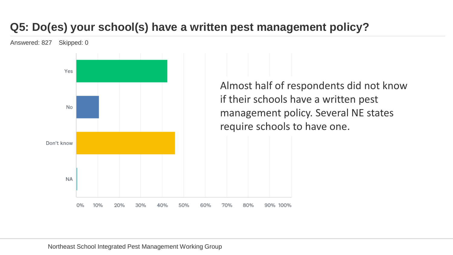# **Q5: Do(es) your school(s) have a written pest management policy?**

Answered: 827 Skipped: 0



Almost half of respondents did not know if their schools have a written pest management policy. Several NE states require schools to have one.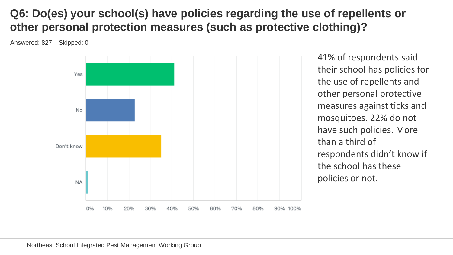#### **Q6: Do(es) your school(s) have policies regarding the use of repellents or other personal protection measures (such as protective clothing)?**

Answered: 827 Skipped: 0



41% of respondents said their school has policies for the use of repellents and other personal protective measures against ticks and mosquitoes. 22% do not have such policies. More than a third of respondents didn't know if the school has these policies or not.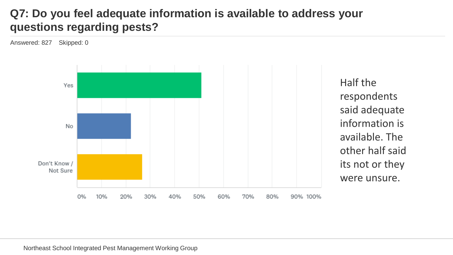#### **Q7: Do you feel adequate information is available to address your questions regarding pests?**

Answered: 827 Skipped: 0



Half the respondents said adequate information is available. The other half said its not or they were unsure.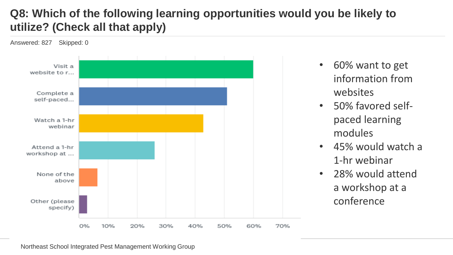## **Q8: Which of the following learning opportunities would you be likely to utilize? (Check all that apply)**